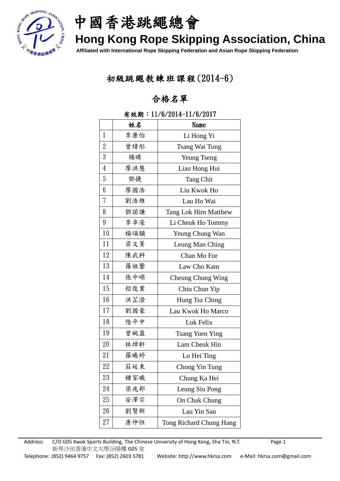

中國香港跳繩總會

# **Hong Kong Rope Skipping Association, China**

**Affiliated with International Rope Skipping Federation and Asian Rope Skipping Federation**

### 初級跳繩教練班課程(2014-6)

### 合格名單

|                  | 姓名  | Name                    |
|------------------|-----|-------------------------|
| 1                | 李康怡 | Li Hong Yi              |
| $\boldsymbol{2}$ | 曾煒彤 | Tsang Wai Tung          |
| $\boldsymbol{3}$ | 楊晴  | <b>Yeung Tseng</b>      |
| $\overline{4}$   | 廖洪慧 | Liao Hong Hui           |
| $\overline{5}$   | 鄧捷  | <b>Tang Chit</b>        |
| 6                | 廖國浩 | Liu Kwok Ho             |
| 7                | 劉浩維 | Lau Ho Wai              |
| 8                | 鄧諾謙 | Tang Lok Him Matthew    |
| 9                | 李卓濠 | Li Cheuk Ho Tommy       |
| 10               | 楊頌韻 | Yeung Chung Wan         |
| 11               | 梁文菁 | Leung Man Ching         |
| 12               | 陳武科 | Chan Mo For             |
| 13               | 羅祖鑒 | Law Cho Kam             |
| 14               | 張中嶸 | Cheung Chung Wing       |
| 15               | 招俊業 | Chiu Chun Yip           |
| 16               | 洪芷澄 | Hung Tsz Ching          |
| 17               | 劉國豪 | Lau Kwok Ho Marco       |
| 18               | 陸平中 | Luk Felix               |
| 19               | 曾婉盈 | <b>Tsang Yuen Ying</b>  |
| 20               | 林焯軒 | Lam Cheuk Hin           |
| 21               | 羅曦婷 | Lo Hei Ting             |
| 22               | 莊延東 | Chong Yin Tung          |
| 23               | 鍾家曦 | Chung Ka Hei            |
| 24               | 梁兆邦 | Leung Siu Pong          |
| 25               | 安澤宗 | On Chak Chung           |
| 26               | 劉賢新 | Lau Yin San             |
| 27               | 唐仲恒 | Tong Richard Chung Hang |

#### 有效期:11/6/2014-11/6/2017

Address: C/O G05 Kwok Sports Building, The Chinese University of Hong Kong, Sha Tin, N.T. Page 1 新界沙田香港中文大學汾陽樓 G05 室 Telephone: (852) 9464 9757 Fax: (852) 2603 5781 Website: http://www.hkrsa.com e-Mail: hkrsa.com@gmail.com